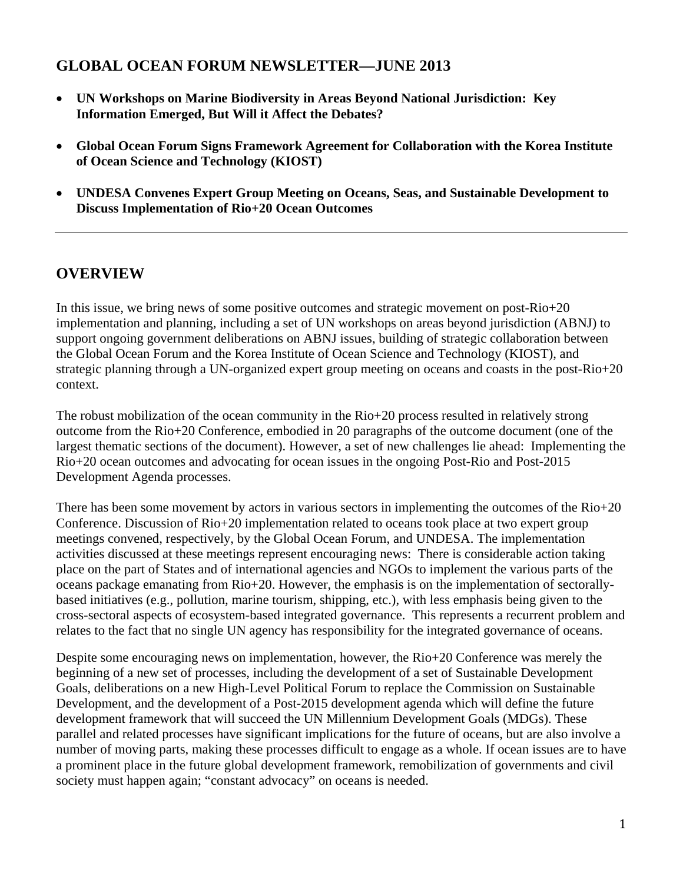# **GLOBAL OCEAN FORUM NEWSLETTER—JUNE 2013**

- **UN Workshops on Marine Biodiversity in Areas Beyond National Jurisdiction: Key Information Emerged, But Will it Affect the Debates?**
- **Global Ocean Forum Signs Framework Agreement for Collaboration with the Korea Institute of Ocean Science and Technology (KIOST)**
- **UNDESA Convenes Expert Group Meeting on Oceans, Seas, and Sustainable Development to Discuss Implementation of Rio+20 Ocean Outcomes**

### **OVERVIEW**

In this issue, we bring news of some positive outcomes and strategic movement on post-Rio+20 implementation and planning, including a set of UN workshops on areas beyond jurisdiction (ABNJ) to support ongoing government deliberations on ABNJ issues, building of strategic collaboration between the Global Ocean Forum and the Korea Institute of Ocean Science and Technology (KIOST), and strategic planning through a UN-organized expert group meeting on oceans and coasts in the post-Rio+20 context.

The robust mobilization of the ocean community in the Rio+20 process resulted in relatively strong outcome from the Rio+20 Conference, embodied in 20 paragraphs of the outcome document (one of the largest thematic sections of the document). However, a set of new challenges lie ahead: Implementing the Rio+20 ocean outcomes and advocating for ocean issues in the ongoing Post-Rio and Post-2015 Development Agenda processes.

There has been some movement by actors in various sectors in implementing the outcomes of the Rio+20 Conference. Discussion of Rio+20 implementation related to oceans took place at two expert group meetings convened, respectively, by the Global Ocean Forum, and UNDESA. The implementation activities discussed at these meetings represent encouraging news: There is considerable action taking place on the part of States and of international agencies and NGOs to implement the various parts of the oceans package emanating from Rio+20. However, the emphasis is on the implementation of sectorallybased initiatives (e.g., pollution, marine tourism, shipping, etc.), with less emphasis being given to the cross-sectoral aspects of ecosystem-based integrated governance. This represents a recurrent problem and relates to the fact that no single UN agency has responsibility for the integrated governance of oceans.

Despite some encouraging news on implementation, however, the Rio+20 Conference was merely the beginning of a new set of processes, including the development of a set of Sustainable Development Goals, deliberations on a new High-Level Political Forum to replace the Commission on Sustainable Development, and the development of a Post-2015 development agenda which will define the future development framework that will succeed the UN Millennium Development Goals (MDGs). These parallel and related processes have significant implications for the future of oceans, but are also involve a number of moving parts, making these processes difficult to engage as a whole. If ocean issues are to have a prominent place in the future global development framework, remobilization of governments and civil society must happen again; "constant advocacy" on oceans is needed.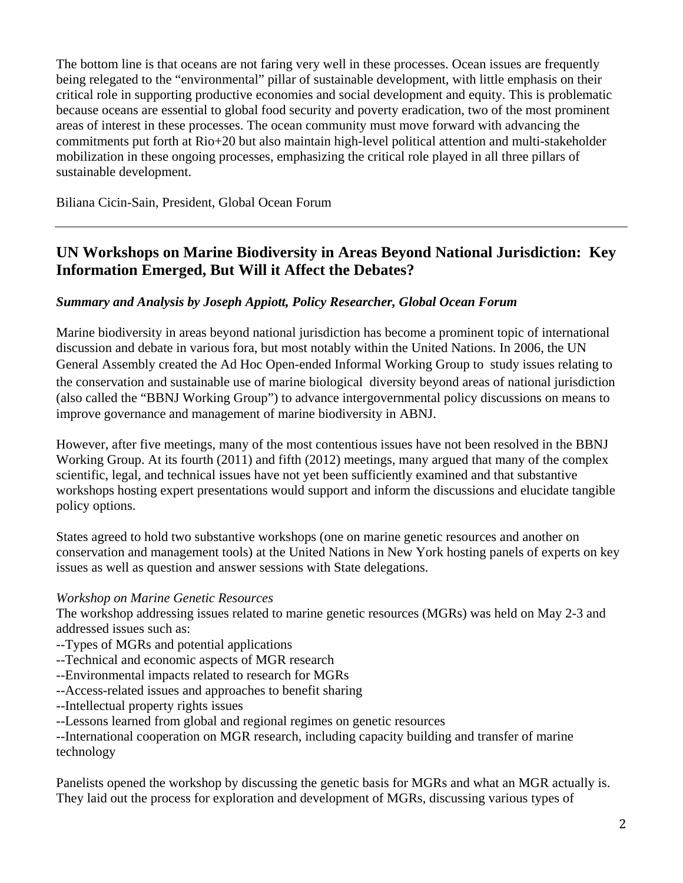The bottom line is that oceans are not faring very well in these processes. Ocean issues are frequently being relegated to the "environmental" pillar of sustainable development, with little emphasis on their critical role in supporting productive economies and social development and equity. This is problematic because oceans are essential to global food security and poverty eradication, two of the most prominent areas of interest in these processes. The ocean community must move forward with advancing the commitments put forth at Rio+20 but also maintain high-level political attention and multi-stakeholder mobilization in these ongoing processes, emphasizing the critical role played in all three pillars of sustainable development.

Biliana Cicin-Sain, President, Global Ocean Forum

## **UN Workshops on Marine Biodiversity in Areas Beyond National Jurisdiction: Key Information Emerged, But Will it Affect the Debates?**

### *Summary and Analysis by Joseph Appiott, Policy Researcher, Global Ocean Forum*

Marine biodiversity in areas beyond national jurisdiction has become a prominent topic of international discussion and debate in various fora, but most notably within the United Nations. In 2006, the UN General Assembly created the Ad Hoc Open-ended Informal Working Group to study issues relating to the conservation and sustainable use of marine biological diversity beyond areas of national jurisdiction (also called the "BBNJ Working Group") to advance intergovernmental policy discussions on means to improve governance and management of marine biodiversity in ABNJ.

However, after five meetings, many of the most contentious issues have not been resolved in the BBNJ Working Group. At its fourth (2011) and fifth (2012) meetings, many argued that many of the complex scientific, legal, and technical issues have not yet been sufficiently examined and that substantive workshops hosting expert presentations would support and inform the discussions and elucidate tangible policy options.

States agreed to hold two substantive workshops (one on marine genetic resources and another on conservation and management tools) at the United Nations in New York hosting panels of experts on key issues as well as question and answer sessions with State delegations.

#### *Workshop on Marine Genetic Resources*

The workshop addressing issues related to marine genetic resources (MGRs) was held on May 2-3 and addressed issues such as:

- --Types of MGRs and potential applications
- --Technical and economic aspects of MGR research
- --Environmental impacts related to research for MGRs
- --Access-related issues and approaches to benefit sharing
- --Intellectual property rights issues
- --Lessons learned from global and regional regimes on genetic resources

--International cooperation on MGR research, including capacity building and transfer of marine technology

Panelists opened the workshop by discussing the genetic basis for MGRs and what an MGR actually is. They laid out the process for exploration and development of MGRs, discussing various types of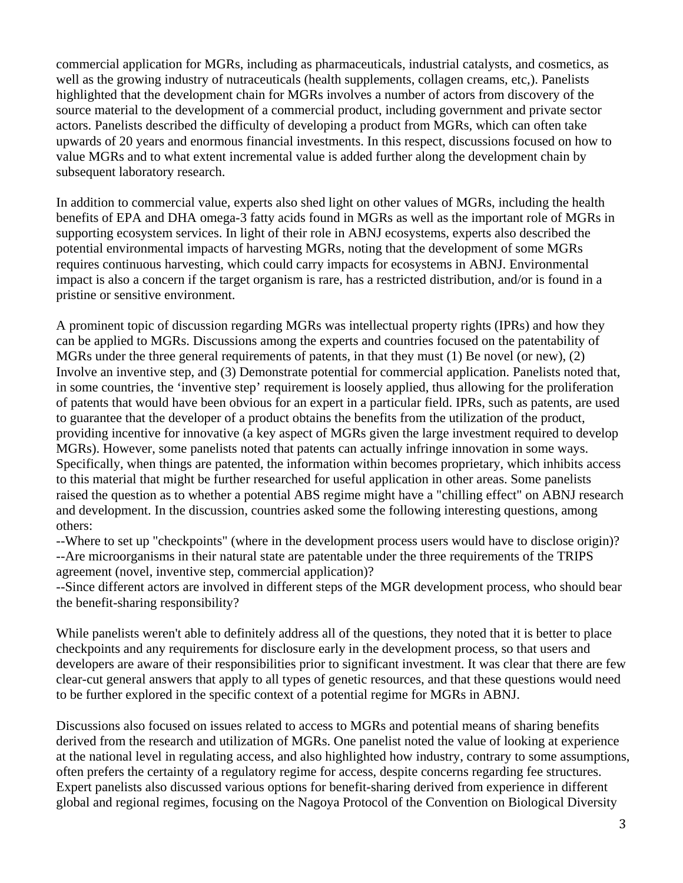commercial application for MGRs, including as pharmaceuticals, industrial catalysts, and cosmetics, as well as the growing industry of nutraceuticals (health supplements, collagen creams, etc,). Panelists highlighted that the development chain for MGRs involves a number of actors from discovery of the source material to the development of a commercial product, including government and private sector actors. Panelists described the difficulty of developing a product from MGRs, which can often take upwards of 20 years and enormous financial investments. In this respect, discussions focused on how to value MGRs and to what extent incremental value is added further along the development chain by subsequent laboratory research.

In addition to commercial value, experts also shed light on other values of MGRs, including the health benefits of EPA and DHA omega-3 fatty acids found in MGRs as well as the important role of MGRs in supporting ecosystem services. In light of their role in ABNJ ecosystems, experts also described the potential environmental impacts of harvesting MGRs, noting that the development of some MGRs requires continuous harvesting, which could carry impacts for ecosystems in ABNJ. Environmental impact is also a concern if the target organism is rare, has a restricted distribution, and/or is found in a pristine or sensitive environment.

A prominent topic of discussion regarding MGRs was intellectual property rights (IPRs) and how they can be applied to MGRs. Discussions among the experts and countries focused on the patentability of MGRs under the three general requirements of patents, in that they must (1) Be novel (or new), (2) Involve an inventive step, and (3) Demonstrate potential for commercial application. Panelists noted that, in some countries, the 'inventive step' requirement is loosely applied, thus allowing for the proliferation of patents that would have been obvious for an expert in a particular field. IPRs, such as patents, are used to guarantee that the developer of a product obtains the benefits from the utilization of the product, providing incentive for innovative (a key aspect of MGRs given the large investment required to develop MGRs). However, some panelists noted that patents can actually infringe innovation in some ways. Specifically, when things are patented, the information within becomes proprietary, which inhibits access to this material that might be further researched for useful application in other areas. Some panelists raised the question as to whether a potential ABS regime might have a "chilling effect" on ABNJ research and development. In the discussion, countries asked some the following interesting questions, among others:

--Where to set up "checkpoints" (where in the development process users would have to disclose origin)? --Are microorganisms in their natural state are patentable under the three requirements of the TRIPS agreement (novel, inventive step, commercial application)?

--Since different actors are involved in different steps of the MGR development process, who should bear the benefit-sharing responsibility?

While panelists weren't able to definitely address all of the questions, they noted that it is better to place checkpoints and any requirements for disclosure early in the development process, so that users and developers are aware of their responsibilities prior to significant investment. It was clear that there are few clear-cut general answers that apply to all types of genetic resources, and that these questions would need to be further explored in the specific context of a potential regime for MGRs in ABNJ.

Discussions also focused on issues related to access to MGRs and potential means of sharing benefits derived from the research and utilization of MGRs. One panelist noted the value of looking at experience at the national level in regulating access, and also highlighted how industry, contrary to some assumptions, often prefers the certainty of a regulatory regime for access, despite concerns regarding fee structures. Expert panelists also discussed various options for benefit-sharing derived from experience in different global and regional regimes, focusing on the Nagoya Protocol of the Convention on Biological Diversity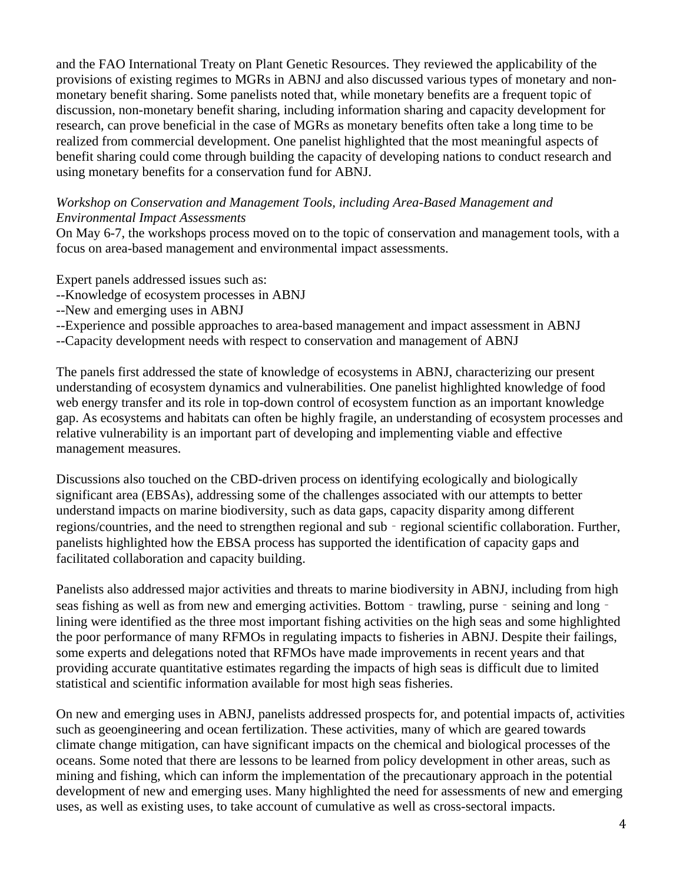and the FAO International Treaty on Plant Genetic Resources. They reviewed the applicability of the provisions of existing regimes to MGRs in ABNJ and also discussed various types of monetary and nonmonetary benefit sharing. Some panelists noted that, while monetary benefits are a frequent topic of discussion, non-monetary benefit sharing, including information sharing and capacity development for research, can prove beneficial in the case of MGRs as monetary benefits often take a long time to be realized from commercial development. One panelist highlighted that the most meaningful aspects of benefit sharing could come through building the capacity of developing nations to conduct research and using monetary benefits for a conservation fund for ABNJ.

#### *Workshop on Conservation and Management Tools, including Area-Based Management and Environmental Impact Assessments*

On May 6-7, the workshops process moved on to the topic of conservation and management tools, with a focus on area-based management and environmental impact assessments.

Expert panels addressed issues such as:

- --Knowledge of ecosystem processes in ABNJ
- --New and emerging uses in ABNJ
- --Experience and possible approaches to area-based management and impact assessment in ABNJ
- --Capacity development needs with respect to conservation and management of ABNJ

The panels first addressed the state of knowledge of ecosystems in ABNJ, characterizing our present understanding of ecosystem dynamics and vulnerabilities. One panelist highlighted knowledge of food web energy transfer and its role in top-down control of ecosystem function as an important knowledge gap. As ecosystems and habitats can often be highly fragile, an understanding of ecosystem processes and relative vulnerability is an important part of developing and implementing viable and effective management measures.

Discussions also touched on the CBD-driven process on identifying ecologically and biologically significant area (EBSAs), addressing some of the challenges associated with our attempts to better understand impacts on marine biodiversity, such as data gaps, capacity disparity among different regions/countries, and the need to strengthen regional and sub - regional scientific collaboration. Further, panelists highlighted how the EBSA process has supported the identification of capacity gaps and facilitated collaboration and capacity building.

Panelists also addressed major activities and threats to marine biodiversity in ABNJ, including from high seas fishing as well as from new and emerging activities. Bottom - trawling, purse - seining and long lining were identified as the three most important fishing activities on the high seas and some highlighted the poor performance of many RFMOs in regulating impacts to fisheries in ABNJ. Despite their failings, some experts and delegations noted that RFMOs have made improvements in recent years and that providing accurate quantitative estimates regarding the impacts of high seas is difficult due to limited statistical and scientific information available for most high seas fisheries.

On new and emerging uses in ABNJ, panelists addressed prospects for, and potential impacts of, activities such as geoengineering and ocean fertilization. These activities, many of which are geared towards climate change mitigation, can have significant impacts on the chemical and biological processes of the oceans. Some noted that there are lessons to be learned from policy development in other areas, such as mining and fishing, which can inform the implementation of the precautionary approach in the potential development of new and emerging uses. Many highlighted the need for assessments of new and emerging uses, as well as existing uses, to take account of cumulative as well as cross-sectoral impacts.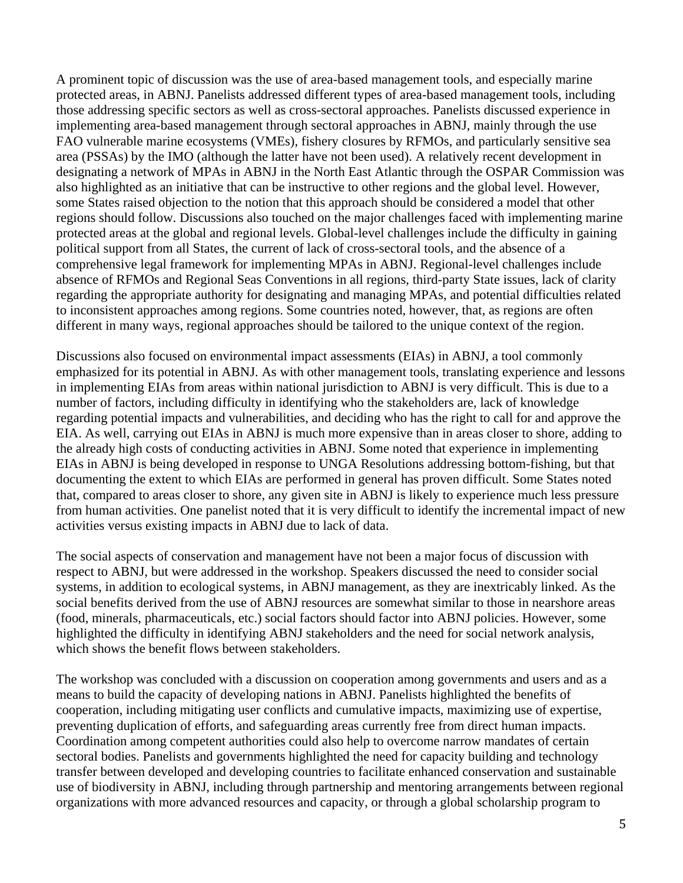A prominent topic of discussion was the use of area-based management tools, and especially marine protected areas, in ABNJ. Panelists addressed different types of area-based management tools, including those addressing specific sectors as well as cross-sectoral approaches. Panelists discussed experience in implementing area-based management through sectoral approaches in ABNJ, mainly through the use FAO vulnerable marine ecosystems (VMEs), fishery closures by RFMOs, and particularly sensitive sea area (PSSAs) by the IMO (although the latter have not been used). A relatively recent development in designating a network of MPAs in ABNJ in the North East Atlantic through the OSPAR Commission was also highlighted as an initiative that can be instructive to other regions and the global level. However, some States raised objection to the notion that this approach should be considered a model that other regions should follow. Discussions also touched on the major challenges faced with implementing marine protected areas at the global and regional levels. Global-level challenges include the difficulty in gaining political support from all States, the current of lack of cross-sectoral tools, and the absence of a comprehensive legal framework for implementing MPAs in ABNJ. Regional-level challenges include absence of RFMOs and Regional Seas Conventions in all regions, third-party State issues, lack of clarity regarding the appropriate authority for designating and managing MPAs, and potential difficulties related to inconsistent approaches among regions. Some countries noted, however, that, as regions are often different in many ways, regional approaches should be tailored to the unique context of the region.

Discussions also focused on environmental impact assessments (EIAs) in ABNJ, a tool commonly emphasized for its potential in ABNJ. As with other management tools, translating experience and lessons in implementing EIAs from areas within national jurisdiction to ABNJ is very difficult. This is due to a number of factors, including difficulty in identifying who the stakeholders are, lack of knowledge regarding potential impacts and vulnerabilities, and deciding who has the right to call for and approve the EIA. As well, carrying out EIAs in ABNJ is much more expensive than in areas closer to shore, adding to the already high costs of conducting activities in ABNJ. Some noted that experience in implementing EIAs in ABNJ is being developed in response to UNGA Resolutions addressing bottom-fishing, but that documenting the extent to which EIAs are performed in general has proven difficult. Some States noted that, compared to areas closer to shore, any given site in ABNJ is likely to experience much less pressure from human activities. One panelist noted that it is very difficult to identify the incremental impact of new activities versus existing impacts in ABNJ due to lack of data.

The social aspects of conservation and management have not been a major focus of discussion with respect to ABNJ, but were addressed in the workshop. Speakers discussed the need to consider social systems, in addition to ecological systems, in ABNJ management, as they are inextricably linked. As the social benefits derived from the use of ABNJ resources are somewhat similar to those in nearshore areas (food, minerals, pharmaceuticals, etc.) social factors should factor into ABNJ policies. However, some highlighted the difficulty in identifying ABNJ stakeholders and the need for social network analysis, which shows the benefit flows between stakeholders.

The workshop was concluded with a discussion on cooperation among governments and users and as a means to build the capacity of developing nations in ABNJ. Panelists highlighted the benefits of cooperation, including mitigating user conflicts and cumulative impacts, maximizing use of expertise, preventing duplication of efforts, and safeguarding areas currently free from direct human impacts. Coordination among competent authorities could also help to overcome narrow mandates of certain sectoral bodies. Panelists and governments highlighted the need for capacity building and technology transfer between developed and developing countries to facilitate enhanced conservation and sustainable use of biodiversity in ABNJ, including through partnership and mentoring arrangements between regional organizations with more advanced resources and capacity, or through a global scholarship program to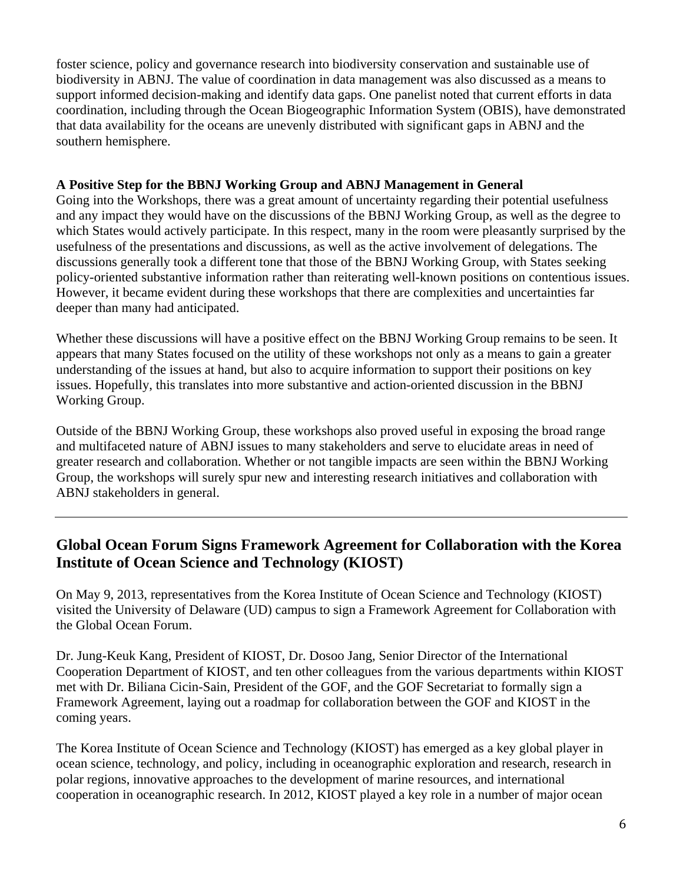foster science, policy and governance research into biodiversity conservation and sustainable use of biodiversity in ABNJ. The value of coordination in data management was also discussed as a means to support informed decision-making and identify data gaps. One panelist noted that current efforts in data coordination, including through the Ocean Biogeographic Information System (OBIS), have demonstrated that data availability for the oceans are unevenly distributed with significant gaps in ABNJ and the southern hemisphere.

#### **A Positive Step for the BBNJ Working Group and ABNJ Management in General**

Going into the Workshops, there was a great amount of uncertainty regarding their potential usefulness and any impact they would have on the discussions of the BBNJ Working Group, as well as the degree to which States would actively participate. In this respect, many in the room were pleasantly surprised by the usefulness of the presentations and discussions, as well as the active involvement of delegations. The discussions generally took a different tone that those of the BBNJ Working Group, with States seeking policy-oriented substantive information rather than reiterating well-known positions on contentious issues. However, it became evident during these workshops that there are complexities and uncertainties far deeper than many had anticipated.

Whether these discussions will have a positive effect on the BBNJ Working Group remains to be seen. It appears that many States focused on the utility of these workshops not only as a means to gain a greater understanding of the issues at hand, but also to acquire information to support their positions on key issues. Hopefully, this translates into more substantive and action-oriented discussion in the BBNJ Working Group.

Outside of the BBNJ Working Group, these workshops also proved useful in exposing the broad range and multifaceted nature of ABNJ issues to many stakeholders and serve to elucidate areas in need of greater research and collaboration. Whether or not tangible impacts are seen within the BBNJ Working Group, the workshops will surely spur new and interesting research initiatives and collaboration with ABNJ stakeholders in general.

# **Global Ocean Forum Signs Framework Agreement for Collaboration with the Korea Institute of Ocean Science and Technology (KIOST)**

On May 9, 2013, representatives from the Korea Institute of Ocean Science and Technology (KIOST) visited the University of Delaware (UD) campus to sign a Framework Agreement for Collaboration with the Global Ocean Forum.

Dr. Jung-Keuk Kang, President of KIOST, Dr. Dosoo Jang, Senior Director of the International Cooperation Department of KIOST, and ten other colleagues from the various departments within KIOST met with Dr. Biliana Cicin-Sain, President of the GOF, and the GOF Secretariat to formally sign a Framework Agreement, laying out a roadmap for collaboration between the GOF and KIOST in the coming years.

The Korea Institute of Ocean Science and Technology (KIOST) has emerged as a key global player in ocean science, technology, and policy, including in oceanographic exploration and research, research in polar regions, innovative approaches to the development of marine resources, and international cooperation in oceanographic research. In 2012, KIOST played a key role in a number of major ocean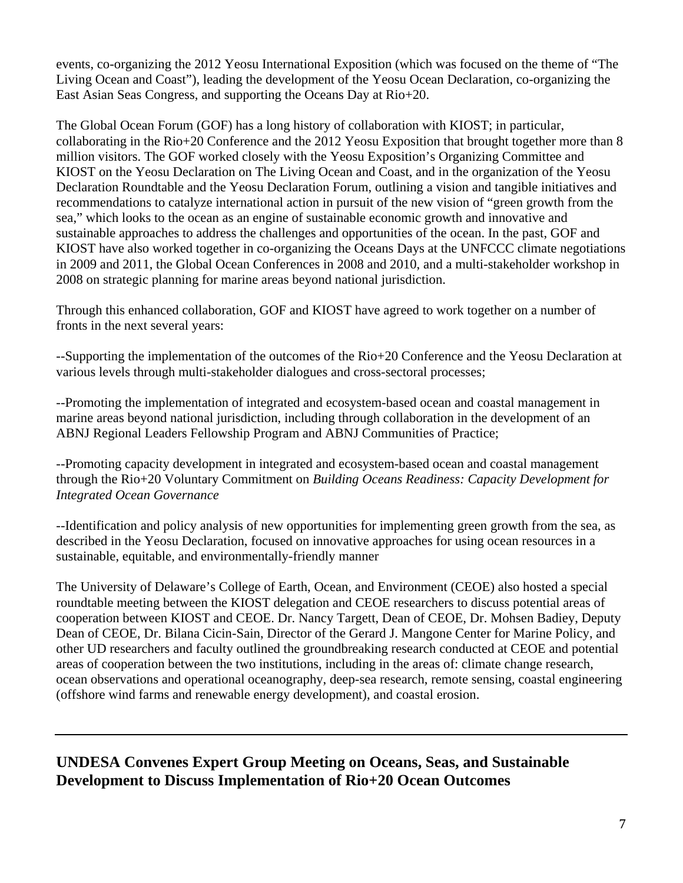events, co-organizing the 2012 Yeosu International Exposition (which was focused on the theme of "The Living Ocean and Coast"), leading the development of the Yeosu Ocean Declaration, co-organizing the East Asian Seas Congress, and supporting the Oceans Day at Rio+20.

The Global Ocean Forum (GOF) has a long history of collaboration with KIOST; in particular, collaborating in the Rio+20 Conference and the 2012 Yeosu Exposition that brought together more than 8 million visitors. The GOF worked closely with the Yeosu Exposition's Organizing Committee and KIOST on the Yeosu Declaration on The Living Ocean and Coast, and in the organization of the Yeosu Declaration Roundtable and the Yeosu Declaration Forum, outlining a vision and tangible initiatives and recommendations to catalyze international action in pursuit of the new vision of "green growth from the sea," which looks to the ocean as an engine of sustainable economic growth and innovative and sustainable approaches to address the challenges and opportunities of the ocean. In the past, GOF and KIOST have also worked together in co-organizing the Oceans Days at the UNFCCC climate negotiations in 2009 and 2011, the Global Ocean Conferences in 2008 and 2010, and a multi-stakeholder workshop in 2008 on strategic planning for marine areas beyond national jurisdiction.

Through this enhanced collaboration, GOF and KIOST have agreed to work together on a number of fronts in the next several years:

--Supporting the implementation of the outcomes of the Rio+20 Conference and the Yeosu Declaration at various levels through multi-stakeholder dialogues and cross-sectoral processes;

--Promoting the implementation of integrated and ecosystem-based ocean and coastal management in marine areas beyond national jurisdiction, including through collaboration in the development of an ABNJ Regional Leaders Fellowship Program and ABNJ Communities of Practice;

--Promoting capacity development in integrated and ecosystem-based ocean and coastal management through the Rio+20 Voluntary Commitment on *Building Oceans Readiness: Capacity Development for Integrated Ocean Governance* 

--Identification and policy analysis of new opportunities for implementing green growth from the sea, as described in the Yeosu Declaration, focused on innovative approaches for using ocean resources in a sustainable, equitable, and environmentally-friendly manner

The University of Delaware's College of Earth, Ocean, and Environment (CEOE) also hosted a special roundtable meeting between the KIOST delegation and CEOE researchers to discuss potential areas of cooperation between KIOST and CEOE. Dr. Nancy Targett, Dean of CEOE, Dr. Mohsen Badiey, Deputy Dean of CEOE, Dr. Bilana Cicin-Sain, Director of the Gerard J. Mangone Center for Marine Policy, and other UD researchers and faculty outlined the groundbreaking research conducted at CEOE and potential areas of cooperation between the two institutions, including in the areas of: climate change research, ocean observations and operational oceanography, deep-sea research, remote sensing, coastal engineering (offshore wind farms and renewable energy development), and coastal erosion.

## **UNDESA Convenes Expert Group Meeting on Oceans, Seas, and Sustainable Development to Discuss Implementation of Rio+20 Ocean Outcomes**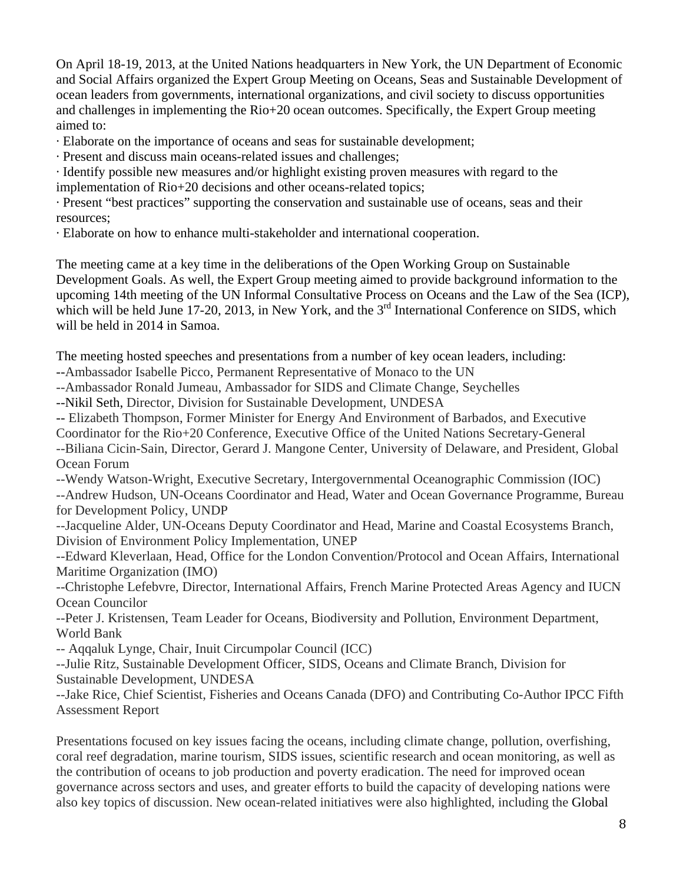On April 18-19, 2013, at the United Nations headquarters in New York, the UN Department of Economic and Social Affairs organized the Expert Group Meeting on Oceans, Seas and Sustainable Development of ocean leaders from governments, international organizations, and civil society to discuss opportunities and challenges in implementing the Rio+20 ocean outcomes. Specifically, the Expert Group meeting aimed to:

· Elaborate on the importance of oceans and seas for sustainable development;

· Present and discuss main oceans-related issues and challenges;

· Identify possible new measures and/or highlight existing proven measures with regard to the implementation of Rio+20 decisions and other oceans-related topics;

· Present "best practices" supporting the conservation and sustainable use of oceans, seas and their resources;

· Elaborate on how to enhance multi-stakeholder and international cooperation.

The meeting came at a key time in the deliberations of the Open Working Group on Sustainable Development Goals. As well, the Expert Group meeting aimed to provide background information to the upcoming 14th meeting of the UN Informal Consultative Process on Oceans and the Law of the Sea (ICP), which will be held June 17-20, 2013, in New York, and the  $3<sup>rd</sup>$  International Conference on SIDS, which will be held in 2014 in Samoa.

The meeting hosted speeches and presentations from a number of key ocean leaders, including:

--Ambassador Isabelle Picco, Permanent Representative of Monaco to the UN

--Ambassador Ronald Jumeau, Ambassador for SIDS and Climate Change, Seychelles

--Nikil Seth, Director, Division for Sustainable Development, UNDESA

-- Elizabeth Thompson, Former Minister for Energy And Environment of Barbados, and Executive

Coordinator for the Rio+20 Conference, Executive Office of the United Nations Secretary-General

--Biliana Cicin-Sain, Director, Gerard J. Mangone Center, University of Delaware, and President, Global Ocean Forum

--Wendy Watson-Wright, Executive Secretary, Intergovernmental Oceanographic Commission (IOC) --Andrew Hudson, UN-Oceans Coordinator and Head, Water and Ocean Governance Programme, Bureau for Development Policy, UNDP

--Jacqueline Alder, UN-Oceans Deputy Coordinator and Head, Marine and Coastal Ecosystems Branch, Division of Environment Policy Implementation, UNEP

--Edward Kleverlaan, Head, Office for the London Convention/Protocol and Ocean Affairs, International Maritime Organization (IMO)

--Christophe Lefebvre, Director, International Affairs, French Marine Protected Areas Agency and IUCN Ocean Councilor

--Peter J. Kristensen, Team Leader for Oceans, Biodiversity and Pollution, Environment Department, World Bank

-- Aqqaluk Lynge, Chair, Inuit Circumpolar Council (ICC)

--Julie Ritz, Sustainable Development Officer, SIDS, Oceans and Climate Branch, Division for Sustainable Development, UNDESA

--Jake Rice, Chief Scientist, Fisheries and Oceans Canada (DFO) and Contributing Co-Author IPCC Fifth Assessment Report

Presentations focused on key issues facing the oceans, including climate change, pollution, overfishing, coral reef degradation, marine tourism, SIDS issues, scientific research and ocean monitoring, as well as the contribution of oceans to job production and poverty eradication. The need for improved ocean governance across sectors and uses, and greater efforts to build the capacity of developing nations were also key topics of discussion. New ocean-related initiatives were also highlighted, including the Global